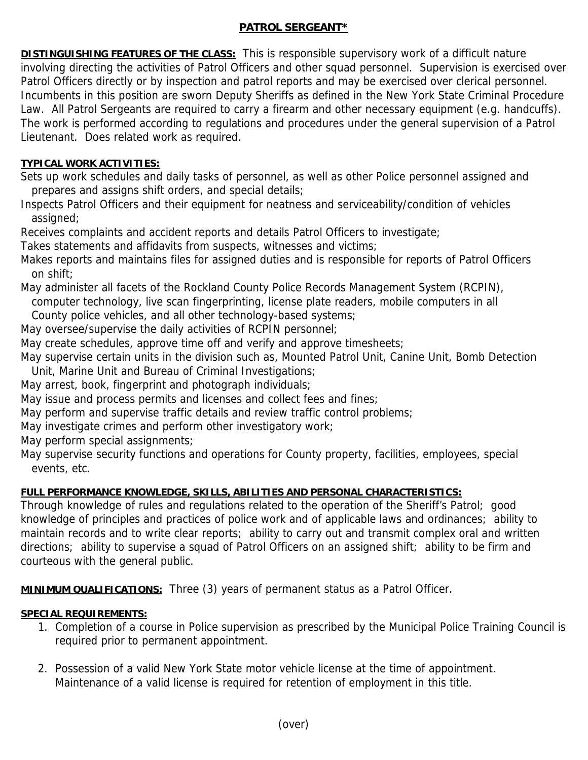## **PATROL SERGEANT\***

**DISTINGUISHING FEATURES OF THE CLASS:** This is responsible supervisory work of a difficult nature involving directing the activities of Patrol Officers and other squad personnel. Supervision is exercised over Patrol Officers directly or by inspection and patrol reports and may be exercised over clerical personnel. Incumbents in this position are sworn Deputy Sheriffs as defined in the New York State Criminal Procedure Law. All Patrol Sergeants are required to carry a firearm and other necessary equipment (e.g. handcuffs). The work is performed according to regulations and procedures under the general supervision of a Patrol Lieutenant. Does related work as required.

## **TYPICAL WORK ACTIVITIES:**

Sets up work schedules and daily tasks of personnel, as well as other Police personnel assigned and prepares and assigns shift orders, and special details;

Inspects Patrol Officers and their equipment for neatness and serviceability/condition of vehicles assigned;

Receives complaints and accident reports and details Patrol Officers to investigate;

Takes statements and affidavits from suspects, witnesses and victims;

Makes reports and maintains files for assigned duties and is responsible for reports of Patrol Officers on shift;

May administer all facets of the Rockland County Police Records Management System (RCPIN),

 computer technology, live scan fingerprinting, license plate readers, mobile computers in all County police vehicles, and all other technology-based systems;

May oversee/supervise the daily activities of RCPIN personnel;

May create schedules, approve time off and verify and approve timesheets;

May supervise certain units in the division such as, Mounted Patrol Unit, Canine Unit, Bomb Detection Unit, Marine Unit and Bureau of Criminal Investigations;

May arrest, book, fingerprint and photograph individuals;

May issue and process permits and licenses and collect fees and fines;

May perform and supervise traffic details and review traffic control problems;

May investigate crimes and perform other investigatory work;

May perform special assignments;

May supervise security functions and operations for County property, facilities, employees, special events, etc.

## **FULL PERFORMANCE KNOWLEDGE, SKILLS, ABILITIES AND PERSONAL CHARACTERISTICS:**

Through knowledge of rules and regulations related to the operation of the Sheriff's Patrol; good knowledge of principles and practices of police work and of applicable laws and ordinances; ability to maintain records and to write clear reports; ability to carry out and transmit complex oral and written directions; ability to supervise a squad of Patrol Officers on an assigned shift; ability to be firm and courteous with the general public.

**MINIMUM QUALIFICATIONS:** Three (3) years of permanent status as a Patrol Officer.

## **SPECIAL REQUIREMENTS:**

- 1. Completion of a course in Police supervision as prescribed by the Municipal Police Training Council is required prior to permanent appointment.
- 2. Possession of a valid New York State motor vehicle license at the time of appointment. Maintenance of a valid license is required for retention of employment in this title.